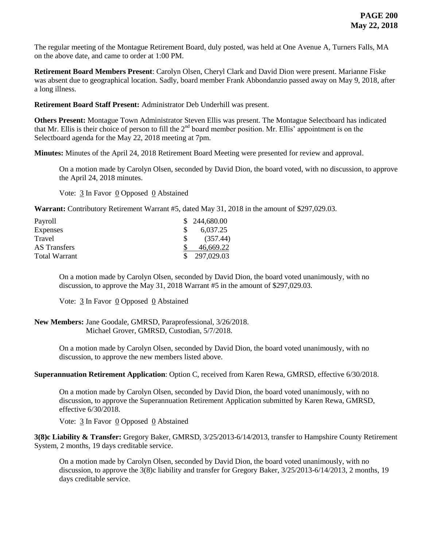The regular meeting of the Montague Retirement Board, duly posted, was held at One Avenue A, Turners Falls, MA on the above date, and came to order at 1:00 PM.

**Retirement Board Members Present**: Carolyn Olsen, Cheryl Clark and David Dion were present. Marianne Fiske was absent due to geographical location. Sadly, board member Frank Abbondanzio passed away on May 9, 2018, after a long illness.

**Retirement Board Staff Present:** Administrator Deb Underhill was present.

**Others Present:** Montague Town Administrator Steven Ellis was present. The Montague Selectboard has indicated that Mr. Ellis is their choice of person to fill the  $2<sup>nd</sup>$  board member position. Mr. Ellis' appointment is on the Selectboard agenda for the May 22, 2018 meeting at 7pm.

**Minutes:** Minutes of the April 24, 2018 Retirement Board Meeting were presented for review and approval.

On a motion made by Carolyn Olsen, seconded by David Dion, the board voted, with no discussion, to approve the April 24, 2018 minutes.

Vote:  $\frac{3}{2}$  In Favor  $\frac{0}{2}$  Opposed  $\frac{0}{2}$  Abstained

**Warrant:** Contributory Retirement Warrant #5, dated May 31, 2018 in the amount of \$297,029.03.

| Payroll         | \$244,680.00     |
|-----------------|------------------|
| <b>Expenses</b> | 6,037.25         |
| Travel          | (357.44)         |
| AS Transfers    | 46.669.22        |
| Total Warrant   | \$<br>297,029.03 |

On a motion made by Carolyn Olsen, seconded by David Dion, the board voted unanimously, with no discussion, to approve the May 31, 2018 Warrant #5 in the amount of \$297,029.03.

Vote: 3 In Favor 0 Opposed 0 Abstained

**New Members:** Jane Goodale, GMRSD, Paraprofessional, 3/26/2018. Michael Grover, GMRSD, Custodian, 5/7/2018.

> On a motion made by Carolyn Olsen, seconded by David Dion, the board voted unanimously, with no discussion, to approve the new members listed above.

**Superannuation Retirement Application**: Option C, received from Karen Rewa, GMRSD, effective 6/30/2018.

On a motion made by Carolyn Olsen, seconded by David Dion, the board voted unanimously, with no discussion, to approve the Superannuation Retirement Application submitted by Karen Rewa, GMRSD, effective 6/30/2018.

Vote: 3 In Favor 0 Opposed 0 Abstained

**3(8)c Liability & Transfer:** Gregory Baker, GMRSD, 3/25/2013-6/14/2013, transfer to Hampshire County Retirement System, 2 months, 19 days creditable service.

On a motion made by Carolyn Olsen, seconded by David Dion, the board voted unanimously, with no discussion, to approve the 3(8)c liability and transfer for Gregory Baker, 3/25/2013-6/14/2013, 2 months, 19 days creditable service.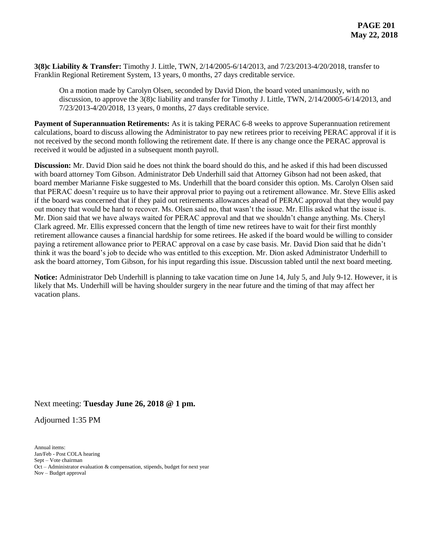**3(8)c Liability & Transfer:** Timothy J. Little, TWN, 2/14/2005-6/14/2013, and 7/23/2013-4/20/2018, transfer to Franklin Regional Retirement System, 13 years, 0 months, 27 days creditable service.

On a motion made by Carolyn Olsen, seconded by David Dion, the board voted unanimously, with no discussion, to approve the 3(8)c liability and transfer for Timothy J. Little, TWN, 2/14/20005-6/14/2013, and 7/23/2013-4/20/2018, 13 years, 0 months, 27 days creditable service.

**Payment of Superannuation Retirements:** As it is taking PERAC 6-8 weeks to approve Superannuation retirement calculations, board to discuss allowing the Administrator to pay new retirees prior to receiving PERAC approval if it is not received by the second month following the retirement date. If there is any change once the PERAC approval is received it would be adjusted in a subsequent month payroll.

**Discussion:** Mr. David Dion said he does not think the board should do this, and he asked if this had been discussed with board attorney Tom Gibson. Administrator Deb Underhill said that Attorney Gibson had not been asked, that board member Marianne Fiske suggested to Ms. Underhill that the board consider this option. Ms. Carolyn Olsen said that PERAC doesn't require us to have their approval prior to paying out a retirement allowance. Mr. Steve Ellis asked if the board was concerned that if they paid out retirements allowances ahead of PERAC approval that they would pay out money that would be hard to recover. Ms. Olsen said no, that wasn't the issue. Mr. Ellis asked what the issue is. Mr. Dion said that we have always waited for PERAC approval and that we shouldn't change anything. Ms. Cheryl Clark agreed. Mr. Ellis expressed concern that the length of time new retirees have to wait for their first monthly retirement allowance causes a financial hardship for some retirees. He asked if the board would be willing to consider paying a retirement allowance prior to PERAC approval on a case by case basis. Mr. David Dion said that he didn't think it was the board's job to decide who was entitled to this exception. Mr. Dion asked Administrator Underhill to ask the board attorney, Tom Gibson, for his input regarding this issue. Discussion tabled until the next board meeting.

**Notice:** Administrator Deb Underhill is planning to take vacation time on June 14, July 5, and July 9-12. However, it is likely that Ms. Underhill will be having shoulder surgery in the near future and the timing of that may affect her vacation plans.

## Next meeting: **Tuesday June 26, 2018 @ 1 pm.**

Adjourned 1:35 PM

Annual items: Jan/Feb - Post COLA hearing Sept – Vote chairman Oct – Administrator evaluation & compensation, stipends, budget for next year Nov – Budget approval